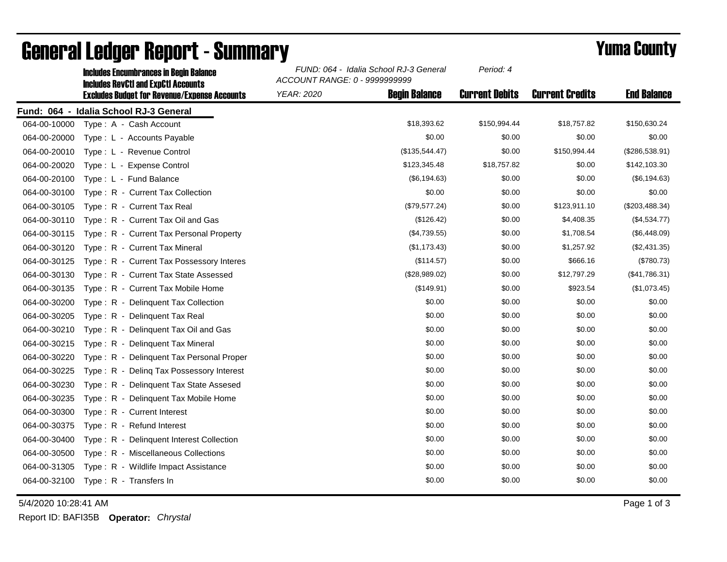|              | <b>Includes Encumbrances in Begin Balance</b><br><b>Includes RevCtI and ExpCtI Accounts</b> | FUND: 064 - Idalia School RJ-3 General<br>ACCOUNT RANGE: 0 - 9999999999 |                      | Period: 4             |                        |                    |
|--------------|---------------------------------------------------------------------------------------------|-------------------------------------------------------------------------|----------------------|-----------------------|------------------------|--------------------|
|              | <b>Excludes Budget for Revenue/Expense Accounts</b>                                         | <b>YEAR: 2020</b>                                                       | <b>Begin Balance</b> | <b>Current Debits</b> | <b>Current Credits</b> | <b>End Balance</b> |
|              | Fund: 064 - Idalia School RJ-3 General                                                      |                                                                         |                      |                       |                        |                    |
| 064-00-10000 | Type: A - Cash Account                                                                      |                                                                         | \$18,393.62          | \$150,994.44          | \$18,757.82            | \$150,630.24       |
| 064-00-20000 | Type: L - Accounts Payable                                                                  |                                                                         | \$0.00               | \$0.00                | \$0.00                 | \$0.00             |
| 064-00-20010 | Type: L - Revenue Control                                                                   |                                                                         | (\$135,544.47)       | \$0.00                | \$150,994.44           | (\$286,538.91)     |
| 064-00-20020 | Type: L - Expense Control                                                                   |                                                                         | \$123,345.48         | \$18,757.82           | \$0.00                 | \$142,103.30       |
| 064-00-20100 | Type: L - Fund Balance                                                                      |                                                                         | (\$6,194.63)         | \$0.00                | \$0.00                 | (\$6, 194.63)      |
| 064-00-30100 | Type: R - Current Tax Collection                                                            |                                                                         | \$0.00               | \$0.00                | \$0.00                 | \$0.00             |
| 064-00-30105 | Type: R - Current Tax Real                                                                  |                                                                         | (\$79,577.24)        | \$0.00                | \$123,911.10           | (\$203,488.34)     |
| 064-00-30110 | Type: R - Current Tax Oil and Gas                                                           |                                                                         | (\$126.42)           | \$0.00                | \$4,408.35             | (\$4,534.77)       |
| 064-00-30115 | Type: R - Current Tax Personal Property                                                     |                                                                         | (\$4,739.55)         | \$0.00                | \$1,708.54             | (\$6,448.09)       |
| 064-00-30120 | Type: R - Current Tax Mineral                                                               |                                                                         | (\$1,173.43)         | \$0.00                | \$1,257.92             | (\$2,431.35)       |
| 064-00-30125 | Type: R - Current Tax Possessory Interes                                                    |                                                                         | (\$114.57)           | \$0.00                | \$666.16               | (\$780.73)         |
| 064-00-30130 | Type: R - Current Tax State Assessed                                                        |                                                                         | (\$28,989.02)        | \$0.00                | \$12,797.29            | (\$41,786.31)      |
| 064-00-30135 | Type: R - Current Tax Mobile Home                                                           |                                                                         | (\$149.91)           | \$0.00                | \$923.54               | (\$1,073.45)       |
| 064-00-30200 | Type: R - Delinquent Tax Collection                                                         |                                                                         | \$0.00               | \$0.00                | \$0.00                 | \$0.00             |
| 064-00-30205 | Type: R - Delinquent Tax Real                                                               |                                                                         | \$0.00               | \$0.00                | \$0.00                 | \$0.00             |
| 064-00-30210 | Type: R - Delinquent Tax Oil and Gas                                                        |                                                                         | \$0.00               | \$0.00                | \$0.00                 | \$0.00             |
| 064-00-30215 | Type: R - Delinquent Tax Mineral                                                            |                                                                         | \$0.00               | \$0.00                | \$0.00                 | \$0.00             |
| 064-00-30220 | Type: R - Delinquent Tax Personal Proper                                                    |                                                                         | \$0.00               | \$0.00                | \$0.00                 | \$0.00             |
| 064-00-30225 | Type: R - Deling Tax Possessory Interest                                                    |                                                                         | \$0.00               | \$0.00                | \$0.00                 | \$0.00             |
| 064-00-30230 | Type: R - Delinquent Tax State Assesed                                                      |                                                                         | \$0.00               | \$0.00                | \$0.00                 | \$0.00             |
| 064-00-30235 | Type: R - Delinquent Tax Mobile Home                                                        |                                                                         | \$0.00               | \$0.00                | \$0.00                 | \$0.00             |
| 064-00-30300 | Type: R - Current Interest                                                                  |                                                                         | \$0.00               | \$0.00                | \$0.00                 | \$0.00             |
| 064-00-30375 | Type: R - Refund Interest                                                                   |                                                                         | \$0.00               | \$0.00                | \$0.00                 | \$0.00             |
| 064-00-30400 | Type: R - Delinquent Interest Collection                                                    |                                                                         | \$0.00               | \$0.00                | \$0.00                 | \$0.00             |
| 064-00-30500 | Type: R - Miscellaneous Collections                                                         |                                                                         | \$0.00               | \$0.00                | \$0.00                 | \$0.00             |
| 064-00-31305 | Type: R - Wildlife Impact Assistance                                                        |                                                                         | \$0.00               | \$0.00                | \$0.00                 | \$0.00             |
| 064-00-32100 | Type: R - Transfers In                                                                      |                                                                         | \$0.00               | \$0.00                | \$0.00                 | \$0.00             |

## General Ledger Report - Summary **Example 2018** Yuma County

5/4/2020 10:28:41 AM Page 1 of 3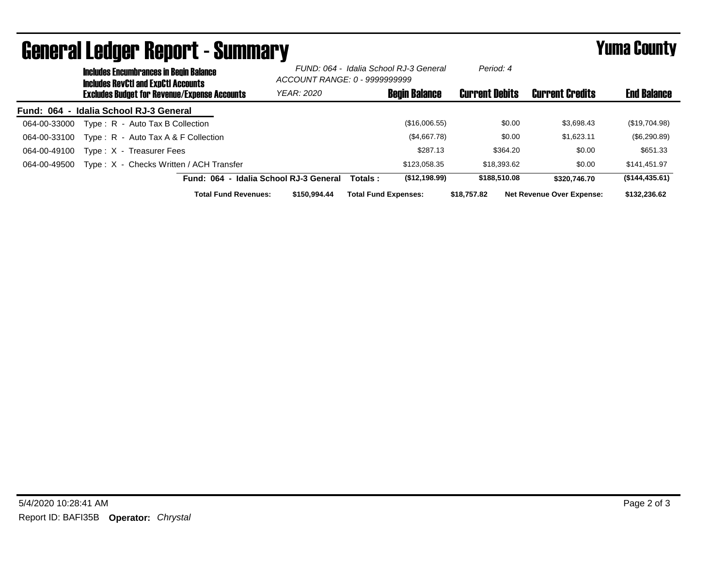| <b>General Ledger Report - Summary</b> |                                                                                             |                                                     |  |                                                                         |         | <b>Yuma County</b>          |                       |              |                                  |                    |
|----------------------------------------|---------------------------------------------------------------------------------------------|-----------------------------------------------------|--|-------------------------------------------------------------------------|---------|-----------------------------|-----------------------|--------------|----------------------------------|--------------------|
|                                        | <b>Includes Encumbrances in Begin Balance</b><br><b>Includes RevCtI and ExpCtI Accounts</b> |                                                     |  | FUND: 064 - Idalia School RJ-3 General<br>ACCOUNT RANGE: 0 - 9999999999 |         | Period: 4                   |                       |              |                                  |                    |
|                                        |                                                                                             | <b>Excludes Budget for Revenue/Expense Accounts</b> |  | <b>YEAR: 2020</b>                                                       |         | <b>Begin Balance</b>        | <b>Current Debits</b> |              | <b>Current Credits</b>           | <b>End Balance</b> |
|                                        |                                                                                             | Fund: 064 - Idalia School RJ-3 General              |  |                                                                         |         |                             |                       |              |                                  |                    |
| 064-00-33000                           |                                                                                             | Type: R - Auto Tax B Collection                     |  |                                                                         |         | (\$16,006.55)               |                       | \$0.00       | \$3,698.43                       | (\$19,704.98)      |
| 064-00-33100                           |                                                                                             | Type: $R -$ Auto Tax A & F Collection               |  |                                                                         |         | (\$4,667.78)                |                       | \$0.00       | \$1,623.11                       | (\$6,290.89)       |
| 064-00-49100                           |                                                                                             | Type: X - Treasurer Fees                            |  |                                                                         |         | \$287.13                    |                       | \$364.20     | \$0.00                           | \$651.33           |
| 064-00-49500                           |                                                                                             | Type: X - Checks Written / ACH Transfer             |  |                                                                         |         | \$123,058.35                |                       | \$18,393.62  | \$0.00                           | \$141,451.97       |
|                                        |                                                                                             | Fund: 064 - Idalia School RJ-3 General              |  |                                                                         | Totals: | (\$12,198.99)               |                       | \$188,510.08 | \$320,746.70                     | (\$144, 435.61)    |
|                                        |                                                                                             | <b>Total Fund Revenues:</b>                         |  | \$150,994.44                                                            |         | <b>Total Fund Expenses:</b> | \$18,757.82           |              | <b>Net Revenue Over Expense:</b> | \$132,236.62       |